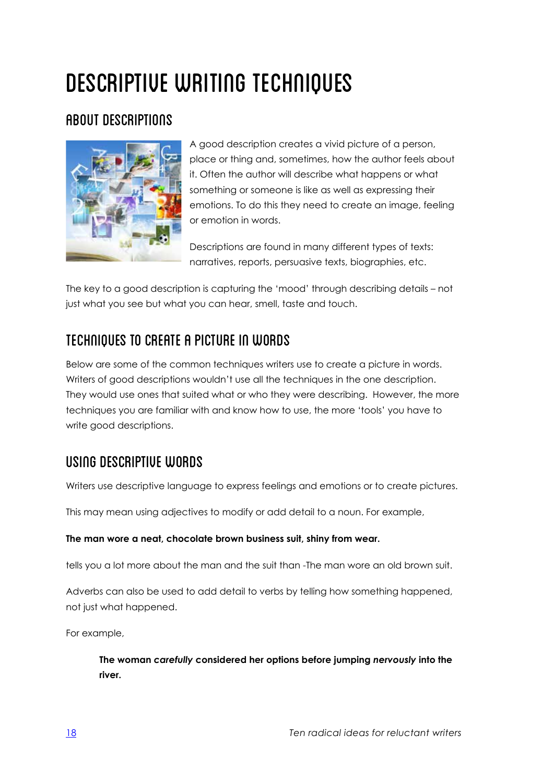# DESCRIPTIVE WRITING TECHNIQUES

# About descriptions



A good description creates a vivid picture of a person, place or thing and, sometimes, how the author feels about it. Often the author will describe what happens or what something or someone is like as well as expressing their emotions. To do this they need to create an image, feeling or emotion in words.

Descriptions are found in many different types of texts: narratives, reports, persuasive texts, biographies, etc.

The key to a good description is capturing the 'mood' through describing details – not just what you see but what you can hear, smell, taste and touch.

# Techniques to create a picture in words

Below are some of the common techniques writers use to create a picture in words. Writers of good descriptions wouldn't use all the techniques in the one description. They would use ones that suited what or who they were describing. However, the more techniques you are familiar with and know how to use, the more 'tools' you have to write good descriptions.

# Using descriptive words

Writers use descriptive language to express feelings and emotions or to create pictures.

This may mean using adjectives to modify or add detail to a noun. For example,

#### **The man wore a neat, chocolate brown business suit, shiny from wear.**

tells you a lot more about the man and the suit than -The man wore an old brown suit.

Adverbs can also be used to add detail to verbs by telling how something happened, not just what happened.

For example,

**The woman** *carefully* **considered her options before jumping** *nervously* **into the river.**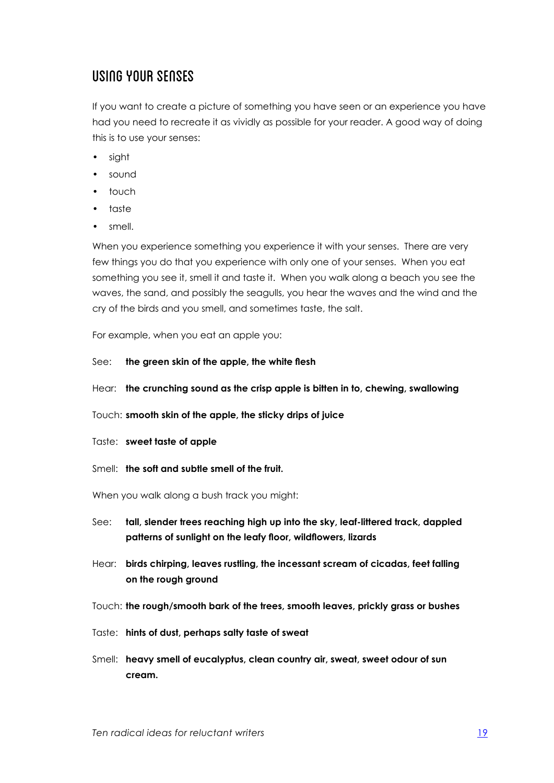### Using your senses

If you want to create a picture of something you have seen or an experience you have had you need to recreate it as vividly as possible for your reader. A good way of doing this is to use your senses:

- sight
- sound
- touch
- taste
- smell.

When you experience something you experience it with your senses. There are very few things you do that you experience with only one of your senses. When you eat something you see it, smell it and taste it. When you walk along a beach you see the waves, the sand, and possibly the seagulls, you hear the waves and the wind and the cry of the birds and you smell, and sometimes taste, the salt.

For example, when you eat an apple you:

- See: **the green skin of the apple, the white flesh**
- Hear: **the crunching sound as the crisp apple is bitten in to, chewing, swallowing**
- Touch: **smooth skin of the apple, the sticky drips of juice**
- Taste: **sweet taste of apple**
- Smell: **the soft and subtle smell of the fruit.**

When you walk along a bush track you might:

- See: **tall, slender trees reaching high up into the sky, leaf-littered track, dappled patterns of sunlight on the leafy floor, wildflowers, lizards**
- Hear: **birds chirping, leaves rustling, the incessant scream of cicadas, feet falling on the rough ground**
- Touch: **the rough/smooth bark of the trees, smooth leaves, prickly grass or bushes**
- Taste: **hints of dust, perhaps salty taste of sweat**
- Smell: **heavy smell of eucalyptus, clean country air, sweat, sweet odour of sun cream.**